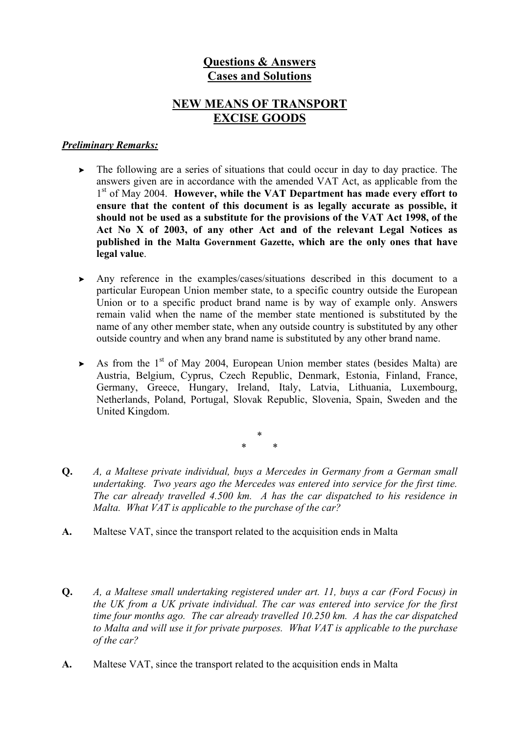# **Questions & Answers Cases and Solutions**

## **NEW MEANS OF TRANSPORT EXCISE GOODS**

#### *Preliminary Remarks:*

- $\triangleright$  The following are a series of situations that could occur in day to day practice. The answers given are in accordance with the amended VAT Act, as applicable from the 1st of May 2004. **However, while the VAT Department has made every effort to ensure that the content of this document is as legally accurate as possible, it should not be used as a substitute for the provisions of the VAT Act 1998, of the Act No X of 2003, of any other Act and of the relevant Legal Notices as published in the Malta Government Gazette, which are the only ones that have legal value**.
- $\triangleright$  Any reference in the examples/cases/situations described in this document to a particular European Union member state, to a specific country outside the European Union or to a specific product brand name is by way of example only. Answers remain valid when the name of the member state mentioned is substituted by the name of any other member state, when any outside country is substituted by any other outside country and when any brand name is substituted by any other brand name.
- $\triangleright$  As from the 1<sup>st</sup> of May 2004, European Union member states (besides Malta) are Austria, Belgium, Cyprus, Czech Republic, Denmark, Estonia, Finland, France, Germany, Greece, Hungary, Ireland, Italy, Latvia, Lithuania, Luxembourg, Netherlands, Poland, Portugal, Slovak Republic, Slovenia, Spain, Sweden and the United Kingdom.

\* \* \*

- **Q.** *A, a Maltese private individual, buys a Mercedes in Germany from a German small undertaking. Two years ago the Mercedes was entered into service for the first time. The car already travelled 4.500 km. A has the car dispatched to his residence in Malta. What VAT is applicable to the purchase of the car?*
- **A.** Maltese VAT, since the transport related to the acquisition ends in Malta
- **Q.** *A, a Maltese small undertaking registered under art. 11, buys a car (Ford Focus) in the UK from a UK private individual. The car was entered into service for the first time four months ago. The car already travelled 10.250 km. A has the car dispatched to Malta and will use it for private purposes. What VAT is applicable to the purchase of the car?*
- **A.** Maltese VAT, since the transport related to the acquisition ends in Malta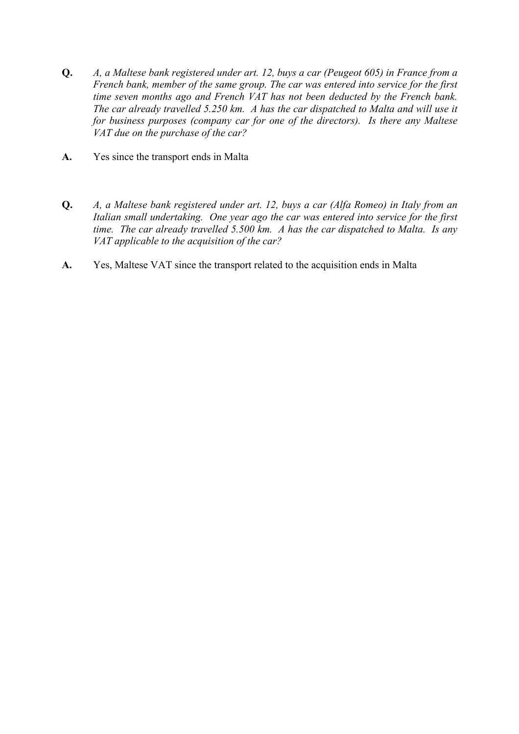- **Q.** *A, a Maltese bank registered under art. 12, buys a car (Peugeot 605) in France from a French bank, member of the same group. The car was entered into service for the first time seven months ago and French VAT has not been deducted by the French bank. The car already travelled 5.250 km. A has the car dispatched to Malta and will use it for business purposes (company car for one of the directors). Is there any Maltese VAT due on the purchase of the car?*
- **A.** Yes since the transport ends in Malta
- **Q.** *A, a Maltese bank registered under art. 12, buys a car (Alfa Romeo) in Italy from an Italian small undertaking. One year ago the car was entered into service for the first time. The car already travelled 5.500 km. A has the car dispatched to Malta. Is any VAT applicable to the acquisition of the car?*
- **A.** Yes, Maltese VAT since the transport related to the acquisition ends in Malta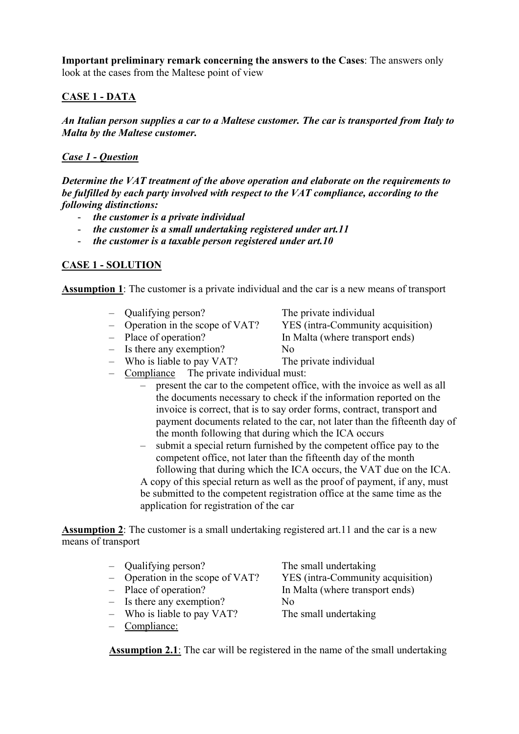**Important preliminary remark concerning the answers to the Cases**: The answers only look at the cases from the Maltese point of view

### **CASE 1 - DATA**

*An Italian person supplies a car to a Maltese customer. The car is transported from Italy to Malta by the Maltese customer.* 

#### *Case 1 - Question*

*Determine the VAT treatment of the above operation and elaborate on the requirements to be fulfilled by each party involved with respect to the VAT compliance, according to the following distinctions:* 

- *the customer is a private individual*
- *the customer is a small undertaking registered under art.11*
- *the customer is a taxable person registered under art.10*

### **CASE 1 - SOLUTION**

**Assumption 1**: The customer is a private individual and the car is a new means of transport

- Qualifying person? The private individual
- Operation in the scope of VAT? YES (intra-Community acquisition)
- 
- Is there any exemption? No
- Who is liable to pay VAT? The private individual
- Compliance The private individual must:
	- present the car to the competent office, with the invoice as well as all the documents necessary to check if the information reported on the invoice is correct, that is to say order forms, contract, transport and payment documents related to the car, not later than the fifteenth day of the month following that during which the ICA occurs
	- submit a special return furnished by the competent office pay to the competent office, not later than the fifteenth day of the month following that during which the ICA occurs, the VAT due on the ICA. A copy of this special return as well as the proof of payment, if any, must be submitted to the competent registration office at the same time as the application for registration of the car

**Assumption 2**: The customer is a small undertaking registered art.11 and the car is a new means of transport

- Qualifying person? The small undertaking
- Operation in the scope of VAT? YES (intra-Community acquisition)
- 
- $-$  Is there any exemption? No
- Who is liable to pay VAT? The small undertaking
- Compliance:

– Place of operation? In Malta (where transport ends)

**Assumption 2.1**: The car will be registered in the name of the small undertaking

- Place of operation? In Malta (where transport ends)
	-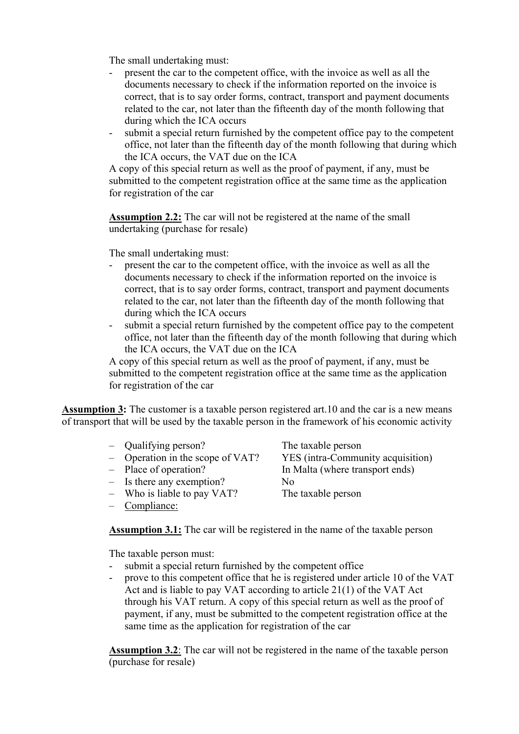The small undertaking must:

- present the car to the competent office, with the invoice as well as all the documents necessary to check if the information reported on the invoice is correct, that is to say order forms, contract, transport and payment documents related to the car, not later than the fifteenth day of the month following that during which the ICA occurs
- submit a special return furnished by the competent office pay to the competent office, not later than the fifteenth day of the month following that during which the ICA occurs, the VAT due on the ICA

A copy of this special return as well as the proof of payment, if any, must be submitted to the competent registration office at the same time as the application for registration of the car

**Assumption 2.2:** The car will not be registered at the name of the small undertaking (purchase for resale)

The small undertaking must:

- present the car to the competent office, with the invoice as well as all the documents necessary to check if the information reported on the invoice is correct, that is to say order forms, contract, transport and payment documents related to the car, not later than the fifteenth day of the month following that during which the ICA occurs
- submit a special return furnished by the competent office pay to the competent office, not later than the fifteenth day of the month following that during which the ICA occurs, the VAT due on the ICA

A copy of this special return as well as the proof of payment, if any, must be submitted to the competent registration office at the same time as the application for registration of the car

**Assumption 3:** The customer is a taxable person registered art.10 and the car is a new means of transport that will be used by the taxable person in the framework of his economic activity

- Qualifying person? The taxable person
- 
- 
- $-$  Is there any exemption? No
- Who is liable to pay VAT? The taxable person
- Compliance:

– Operation in the scope of VAT? YES (intra-Community acquisition) – Place of operation? In Malta (where transport ends)

**Assumption 3.1:** The car will be registered in the name of the taxable person

The taxable person must:

- submit a special return furnished by the competent office
- prove to this competent office that he is registered under article 10 of the VAT Act and is liable to pay VAT according to article 21(1) of the VAT Act through his VAT return. A copy of this special return as well as the proof of payment, if any, must be submitted to the competent registration office at the same time as the application for registration of the car

**Assumption 3.2**: The car will not be registered in the name of the taxable person (purchase for resale)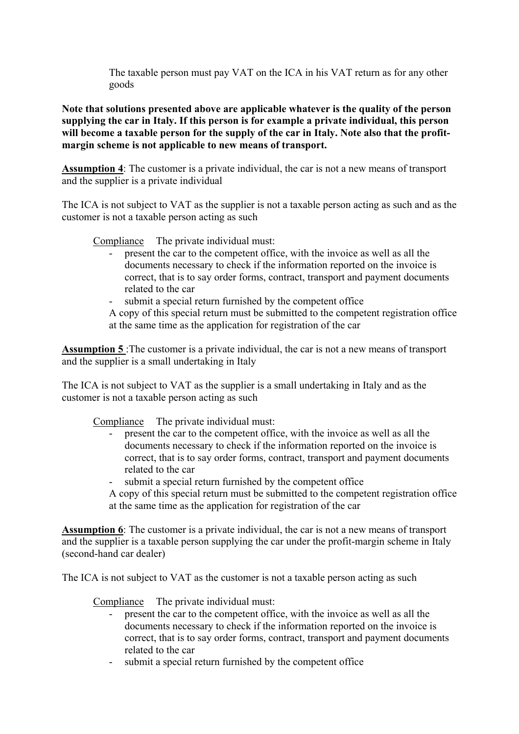The taxable person must pay VAT on the ICA in his VAT return as for any other goods

**Note that solutions presented above are applicable whatever is the quality of the person supplying the car in Italy. If this person is for example a private individual, this person will become a taxable person for the supply of the car in Italy. Note also that the profitmargin scheme is not applicable to new means of transport.** 

**Assumption 4**: The customer is a private individual, the car is not a new means of transport and the supplier is a private individual

The ICA is not subject to VAT as the supplier is not a taxable person acting as such and as the customer is not a taxable person acting as such

Compliance The private individual must:

- present the car to the competent office, with the invoice as well as all the documents necessary to check if the information reported on the invoice is correct, that is to say order forms, contract, transport and payment documents related to the car
- submit a special return furnished by the competent office

A copy of this special return must be submitted to the competent registration office at the same time as the application for registration of the car

**Assumption 5** :The customer is a private individual, the car is not a new means of transport and the supplier is a small undertaking in Italy

The ICA is not subject to VAT as the supplier is a small undertaking in Italy and as the customer is not a taxable person acting as such

Compliance The private individual must:

- present the car to the competent office, with the invoice as well as all the documents necessary to check if the information reported on the invoice is correct, that is to say order forms, contract, transport and payment documents related to the car
- submit a special return furnished by the competent office
- A copy of this special return must be submitted to the competent registration office at the same time as the application for registration of the car

**Assumption 6**: The customer is a private individual, the car is not a new means of transport and the supplier is a taxable person supplying the car under the profit-margin scheme in Italy (second-hand car dealer)

The ICA is not subject to VAT as the customer is not a taxable person acting as such

Compliance The private individual must:

- present the car to the competent office, with the invoice as well as all the documents necessary to check if the information reported on the invoice is correct, that is to say order forms, contract, transport and payment documents related to the car
- submit a special return furnished by the competent office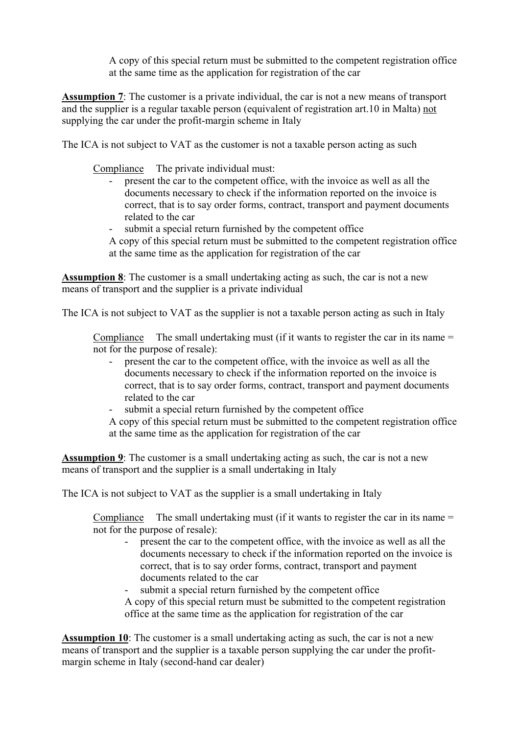A copy of this special return must be submitted to the competent registration office at the same time as the application for registration of the car

**Assumption 7**: The customer is a private individual, the car is not a new means of transport and the supplier is a regular taxable person (equivalent of registration art.10 in Malta) not supplying the car under the profit-margin scheme in Italy

The ICA is not subject to VAT as the customer is not a taxable person acting as such

Compliance The private individual must:

- present the car to the competent office, with the invoice as well as all the documents necessary to check if the information reported on the invoice is correct, that is to say order forms, contract, transport and payment documents related to the car
- submit a special return furnished by the competent office
- A copy of this special return must be submitted to the competent registration office at the same time as the application for registration of the car

**Assumption 8**: The customer is a small undertaking acting as such, the car is not a new means of transport and the supplier is a private individual

The ICA is not subject to VAT as the supplier is not a taxable person acting as such in Italy

Compliance The small undertaking must (if it wants to register the car in its name = not for the purpose of resale):

- present the car to the competent office, with the invoice as well as all the documents necessary to check if the information reported on the invoice is correct, that is to say order forms, contract, transport and payment documents related to the car
- submit a special return furnished by the competent office

A copy of this special return must be submitted to the competent registration office at the same time as the application for registration of the car

**Assumption 9**: The customer is a small undertaking acting as such, the car is not a new means of transport and the supplier is a small undertaking in Italy

The ICA is not subject to VAT as the supplier is a small undertaking in Italy

Compliance The small undertaking must (if it wants to register the car in its name = not for the purpose of resale):

- present the car to the competent office, with the invoice as well as all the documents necessary to check if the information reported on the invoice is correct, that is to say order forms, contract, transport and payment documents related to the car
- submit a special return furnished by the competent office

A copy of this special return must be submitted to the competent registration office at the same time as the application for registration of the car

**Assumption 10**: The customer is a small undertaking acting as such, the car is not a new means of transport and the supplier is a taxable person supplying the car under the profitmargin scheme in Italy (second-hand car dealer)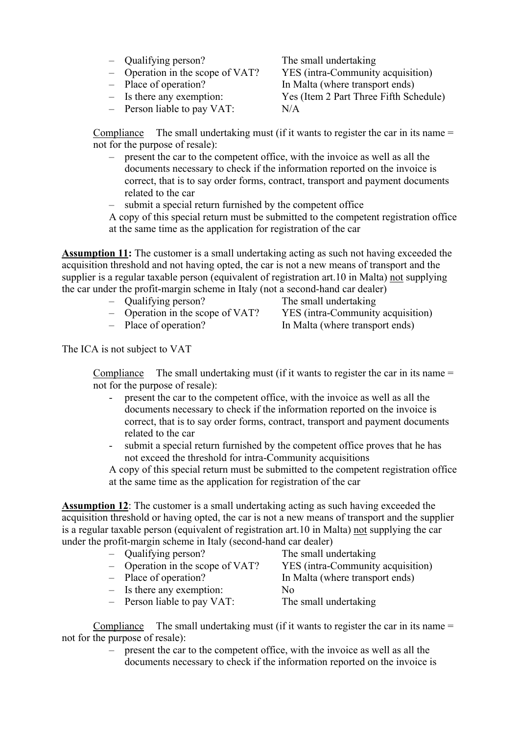- Qualifying person? The small undertaking
- Operation in the scope of VAT? YES (intra-Community acquisition)
- 
- 
- Person liable to pay VAT: N/A

– Place of operation? In Malta (where transport ends) – Is there any exemption: Yes (Item 2 Part Three Fifth Schedule)

Compliance The small undertaking must (if it wants to register the car in its name  $=$ not for the purpose of resale):

- present the car to the competent office, with the invoice as well as all the documents necessary to check if the information reported on the invoice is correct, that is to say order forms, contract, transport and payment documents related to the car
- submit a special return furnished by the competent office

A copy of this special return must be submitted to the competent registration office at the same time as the application for registration of the car

**Assumption 11:** The customer is a small undertaking acting as such not having exceeded the acquisition threshold and not having opted, the car is not a new means of transport and the supplier is a regular taxable person (equivalent of registration art.10 in Malta) not supplying the car under the profit-margin scheme in Italy (not a second-hand car dealer)

- Qualifying person? The small undertaking
- 
- 

– Operation in the scope of VAT? YES (intra-Community acquisition) – Place of operation? In Malta (where transport ends)

The ICA is not subject to VAT

Compliance The small undertaking must (if it wants to register the car in its name = not for the purpose of resale):

- present the car to the competent office, with the invoice as well as all the documents necessary to check if the information reported on the invoice is correct, that is to say order forms, contract, transport and payment documents related to the car
- submit a special return furnished by the competent office proves that he has not exceed the threshold for intra-Community acquisitions

A copy of this special return must be submitted to the competent registration office at the same time as the application for registration of the car

**Assumption 12**: The customer is a small undertaking acting as such having exceeded the acquisition threshold or having opted, the car is not a new means of transport and the supplier is a regular taxable person (equivalent of registration art.10 in Malta) not supplying the car under the profit-margin scheme in Italy (second-hand car dealer)

| - Qualifying person?             | The small undertaking             |
|----------------------------------|-----------------------------------|
| - Operation in the scope of VAT? | YES (intra-Community acquisition) |
| - Place of operation?            | In Malta (where transport ends)   |
| $-$ Is there any exemption:      | No                                |
| - Person liable to pay $VAT$ :   | The small undertaking             |

Compliance The small undertaking must (if it wants to register the car in its name  $=$ not for the purpose of resale):

> – present the car to the competent office, with the invoice as well as all the documents necessary to check if the information reported on the invoice is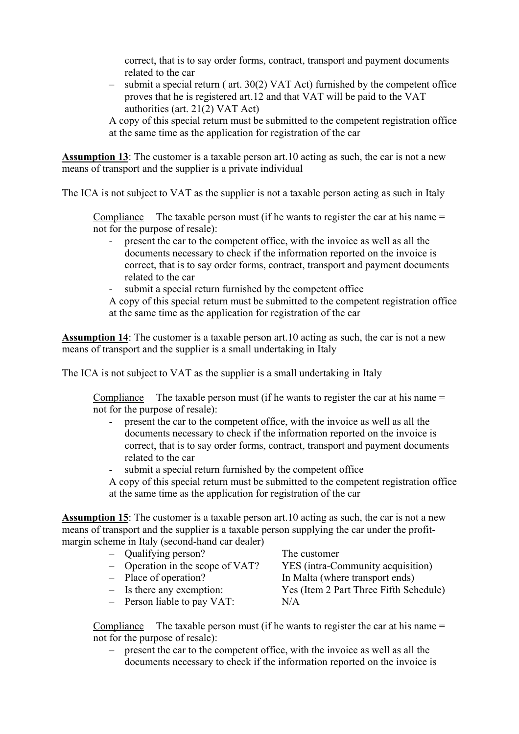correct, that is to say order forms, contract, transport and payment documents related to the car

– submit a special return ( art. 30(2) VAT Act) furnished by the competent office proves that he is registered art.12 and that VAT will be paid to the VAT authorities (art. 21(2) VAT Act)

A copy of this special return must be submitted to the competent registration office at the same time as the application for registration of the car

**Assumption 13**: The customer is a taxable person art.10 acting as such, the car is not a new means of transport and the supplier is a private individual

The ICA is not subject to VAT as the supplier is not a taxable person acting as such in Italy

Compliance The taxable person must (if he wants to register the car at his name  $=$ not for the purpose of resale):

- present the car to the competent office, with the invoice as well as all the documents necessary to check if the information reported on the invoice is correct, that is to say order forms, contract, transport and payment documents related to the car
- submit a special return furnished by the competent office

A copy of this special return must be submitted to the competent registration office at the same time as the application for registration of the car

**Assumption 14**: The customer is a taxable person art.10 acting as such, the car is not a new means of transport and the supplier is a small undertaking in Italy

The ICA is not subject to VAT as the supplier is a small undertaking in Italy

Compliance The taxable person must (if he wants to register the car at his name  $=$ not for the purpose of resale):

- present the car to the competent office, with the invoice as well as all the documents necessary to check if the information reported on the invoice is correct, that is to say order forms, contract, transport and payment documents related to the car
- submit a special return furnished by the competent office

A copy of this special return must be submitted to the competent registration office at the same time as the application for registration of the car

**Assumption 15**: The customer is a taxable person art.10 acting as such, the car is not a new means of transport and the supplier is a taxable person supplying the car under the profitmargin scheme in Italy (second-hand car dealer)

| Qualifying person? |
|--------------------|
|--------------------|

- 
- 
- 
- Person liable to pay VAT: N/A

The customer – Operation in the scope of VAT? YES (intra-Community acquisition) – Place of operation? In Malta (where transport ends) – Is there any exemption: Yes (Item 2 Part Three Fifth Schedule)

Compliance The taxable person must (if he wants to register the car at his name  $=$ not for the purpose of resale):

– present the car to the competent office, with the invoice as well as all the documents necessary to check if the information reported on the invoice is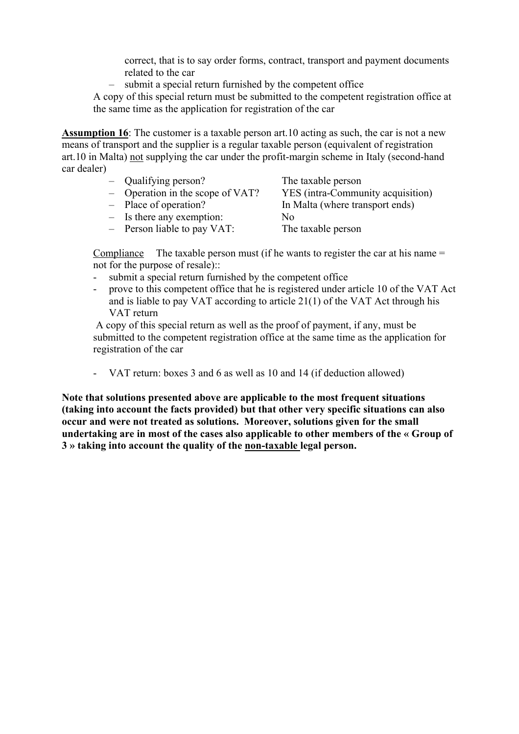correct, that is to say order forms, contract, transport and payment documents related to the car

– submit a special return furnished by the competent office

A copy of this special return must be submitted to the competent registration office at the same time as the application for registration of the car

**Assumption 16**: The customer is a taxable person art.10 acting as such, the car is not a new means of transport and the supplier is a regular taxable person (equivalent of registration art.10 in Malta) not supplying the car under the profit-margin scheme in Italy (second-hand car dealer)

| $-$ Qualifying person?             | The taxable person                |
|------------------------------------|-----------------------------------|
| $-$ Operation in the scope of VAT? | YES (intra-Community acquisition) |
| - Place of operation?              | In Malta (where transport ends)   |
| $-$ Is there any exemption:        | No                                |
| $-$ Person liable to pay VAT:      | The taxable person                |

Compliance The taxable person must (if he wants to register the car at his name  $=$ not for the purpose of resale)::

- submit a special return furnished by the competent office
- prove to this competent office that he is registered under article 10 of the VAT Act and is liable to pay VAT according to article 21(1) of the VAT Act through his VAT return

 A copy of this special return as well as the proof of payment, if any, must be submitted to the competent registration office at the same time as the application for registration of the car

- VAT return: boxes 3 and 6 as well as 10 and 14 (if deduction allowed)

**Note that solutions presented above are applicable to the most frequent situations (taking into account the facts provided) but that other very specific situations can also occur and were not treated as solutions. Moreover, solutions given for the small undertaking are in most of the cases also applicable to other members of the « Group of 3 » taking into account the quality of the non-taxable legal person.**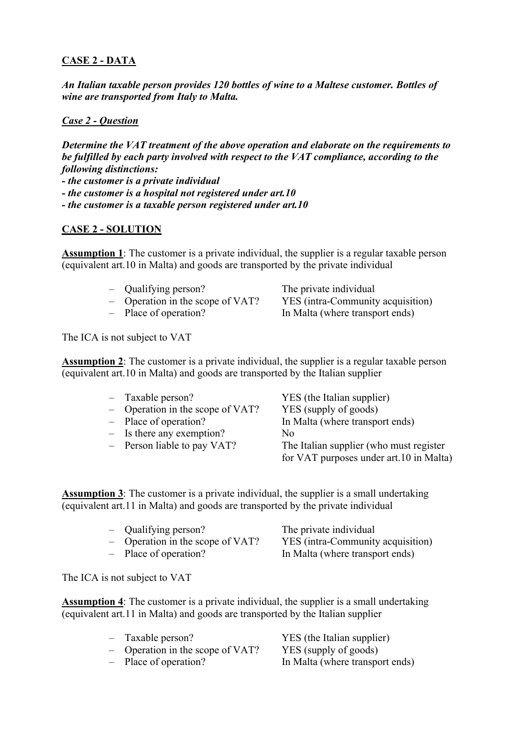### **CASE 2 - DATA**

*An Italian taxable person provides 120 bottles of wine to a Maltese customer. Bottles of wine are transported from Italy to Malta.* 

#### *Case 2 - Question*

*Determine the VAT treatment of the above operation and elaborate on the requirements to be fulfilled by each party involved with respect to the VAT compliance, according to the following distinctions: - the customer is a private individual - the customer is a hospital not registered under art.10 - the customer is a taxable person registered under art.10* 

#### **CASE 2 - SOLUTION**

**Assumption 1**: The customer is a private individual, the supplier is a regular taxable person (equivalent art.10 in Malta) and goods are transported by the private individual

- Qualifying person? The private individual
- 
- 

– Operation in the scope of VAT? YES (intra-Community acquisition)<br>- Place of operation? In Malta (where transport ends) In Malta (where transport ends)

The ICA is not subject to VAT

**Assumption 2**: The customer is a private individual, the supplier is a regular taxable person (equivalent art.10 in Malta) and goods are transported by the Italian supplier

- 
- Operation in the scope of VAT? YES (supply of goods)
- 
- Is there any exemption? No
- 

– Taxable person? YES (the Italian supplier) – Place of operation? In Malta (where transport ends) – Person liable to pay VAT? The Italian supplier (who must register for VAT purposes under art.10 in Malta)

**Assumption 3**: The customer is a private individual, the supplier is a small undertaking (equivalent art.11 in Malta) and goods are transported by the private individual

| - Qualifying person?             | The private individual            |
|----------------------------------|-----------------------------------|
| - Operation in the scope of VAT? | YES (intra-Community acquisition) |
| - Place of operation?            | In Malta (where transport ends)   |

The ICA is not subject to VAT

**Assumption 4**: The customer is a private individual, the supplier is a small undertaking (equivalent art.11 in Malta) and goods are transported by the Italian supplier

– Taxable person? YES (the Italian supplier) – Operation in the scope of VAT? YES (supply of goods) – Place of operation? In Malta (where transport ends)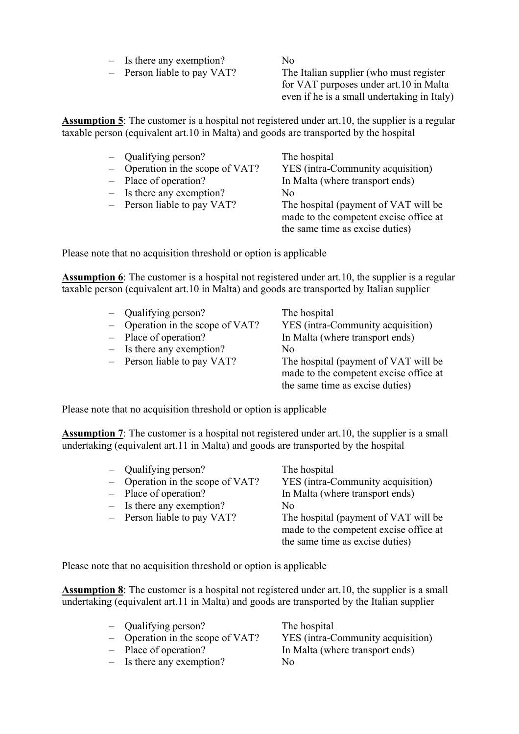- Is there any exemption? No
- 

– Person liable to pay VAT? The Italian supplier (who must register for VAT purposes under art.10 in Malta even if he is a small undertaking in Italy)

**Assumption 5**: The customer is a hospital not registered under art.10, the supplier is a regular taxable person (equivalent art.10 in Malta) and goods are transported by the hospital

| - Qualifying person?             | The hospital                           |
|----------------------------------|----------------------------------------|
| - Operation in the scope of VAT? | YES (intra-Community acquisition)      |
| - Place of operation?            | In Malta (where transport ends)        |
| $-$ Is there any exemption?      | N <sub>0</sub>                         |
| - Person liable to pay VAT?      | The hospital (payment of VAT will be   |
|                                  | made to the competent excise office at |
|                                  | the same time as excise duties)        |

Please note that no acquisition threshold or option is applicable

**Assumption 6**: The customer is a hospital not registered under art.10, the supplier is a regular taxable person (equivalent art.10 in Malta) and goods are transported by Italian supplier

- Qualifying person? The hospital
- Operation in the scope of VAT? YES (intra-Community acquisition)
- 
- $-$  Is there any exemption? No
- 

– Place of operation? In Malta (where transport ends) – Person liable to pay VAT? The hospital (payment of VAT will be made to the competent excise office at the same time as excise duties)

Please note that no acquisition threshold or option is applicable

**Assumption 7**: The customer is a hospital not registered under art.10, the supplier is a small undertaking (equivalent art.11 in Malta) and goods are transported by the hospital

| - Qualifying person?               | The hospital                                                                                                      |
|------------------------------------|-------------------------------------------------------------------------------------------------------------------|
| $-$ Operation in the scope of VAT? | YES (intra-Community acquisition)                                                                                 |
| - Place of operation?              | In Malta (where transport ends)                                                                                   |
| $-$ Is there any exemption?        | N <sub>0</sub>                                                                                                    |
| $-$ Person liable to pay VAT?      | The hospital (payment of VAT will be<br>made to the competent excise office at<br>the same time as excise duties) |

Please note that no acquisition threshold or option is applicable

**Assumption 8**: The customer is a hospital not registered under art.10, the supplier is a small undertaking (equivalent art.11 in Malta) and goods are transported by the Italian supplier

- Qualifying person? The hospital
- 
- 
- Is there any exemption? No

– Operation in the scope of VAT? YES (intra-Community acquisition) – Place of operation? In Malta (where transport ends)